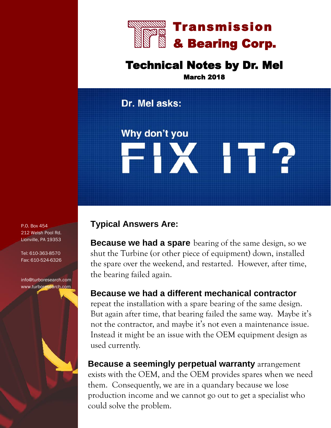

## Technical Notes by Dr. Mel

March 2018

Dr. Mel asks:

Why don't you FIX IT?

## **Typical Answers Are:**

**Because we had a spare** bearing of the same design, so we shut the Turbine (or other piece of equipment) down, installed the spare over the weekend, and restarted. However, after time, the bearing failed again.

## **Because we had a different mechanical contractor**

repeat the installation with a spare bearing of the same design. But again after time, that bearing failed the same way. Maybe it's not the contractor, and maybe it's not even a maintenance issue. Instead it might be an issue with the OEM equipment design as used currently.

**Because a seemingly perpetual warranty** arrangement exists with the OEM, and the OEM provides spares when we need them. Consequently, we are in a quandary because we lose production income and we cannot go out to get a specialist who could solve the problem.

P.O. Box 454 212 Welsh Pool Rd. Lionville, PA 19353

Tel: 610-363-8570 Fax: 610-524-6326

info@turboresearch.com [www.turboresearch.com](http://www.turboresearch.com)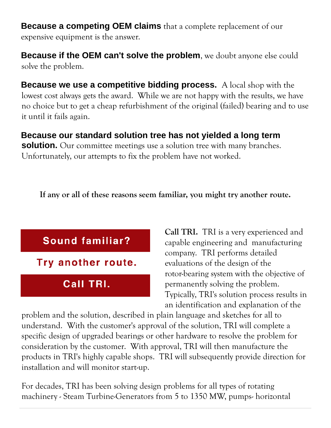**Because a competing OEM claims** that a complete replacement of our expensive equipment is the answer.

**Because if the OEM can't solve the problem**, we doubt anyone else could solve the problem.

**Because we use a competitive bidding process.** A local shop with the lowest cost always gets the award. While we are not happy with the results, we have no choice but to get a cheap refurbishment of the original (failed) bearing and to use it until it fails again.

**Because our standard solution tree has not yielded a long term solution.** Our committee meetings use a solution tree with many branches. Unfortunately, our attempts to fix the problem have not worked.

**If any or all of these reasons seem familiar, you might try another route.**



**Call TRI.** TRI is a very experienced and capable engineering and manufacturing company. TRI performs detailed evaluations of the design of the rotor-bearing system with the objective of permanently solving the problem. Typically, TRI's solution process results in an identification and explanation of the

problem and the solution, described in plain language and sketches for all to understand. With the customer's approval of the solution, TRI will complete a specific design of upgraded bearings or other hardware to resolve the problem for consideration by the customer. With approval, TRI will then manufacture the products in TRI's highly capable shops. TRI will subsequently provide direction for installation and will monitor start-up.

For decades, TRI has been solving design problems for all types of rotating machinery - Steam Turbine-Generators from 5 to 1350 MW, pumps- horizontal